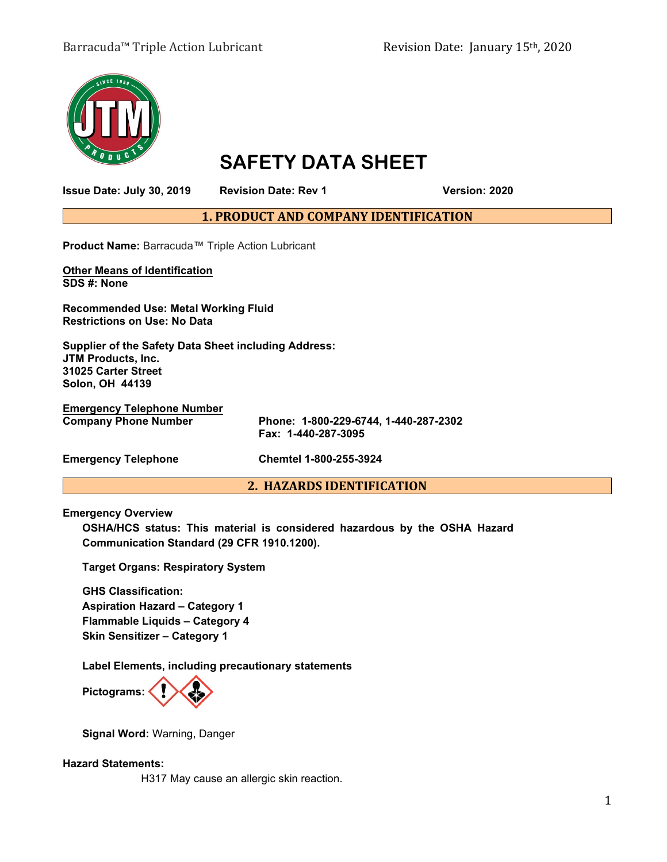# Barracuda™ Triple Action Lubricant Revision Date: January 15<sup>th</sup>, 2020



# **SAFETY DATA SHEET**

**Issue Date: July 30, 2019 Revision Date: Rev 1 Version: 2020**

**1. PRODUCT AND COMPANY IDENTIFICATION**

**Product Name:** Barracuda™ Triple Action Lubricant

**Other Means of Identification SDS #: None**

**Recommended Use: Metal Working Fluid Restrictions on Use: No Data**

**Supplier of the Safety Data Sheet including Address: JTM Products, Inc. 31025 Carter Street Solon, OH 44139**

**Emergency Telephone Number**

**Fax: 1-440-287-3095**

**Emergency Telephone Chemtel 1-800-255-3924**

## **2. HAZARDS IDENTIFICATION**

**Company Phone Number Phone: 1-800-229-6744, 1-440-287-2302**

**Emergency Overview**

**OSHA/HCS status: This material is considered hazardous by the OSHA Hazard Communication Standard (29 CFR 1910.1200).**

**Target Organs: Respiratory System**

**GHS Classification: Aspiration Hazard – Category 1 Flammable Liquids – Category 4 Skin Sensitizer – Category 1**

**Label Elements, including precautionary statements** 



**Signal Word:** Warning, Danger

## **Hazard Statements:**

H317 May cause an allergic skin reaction.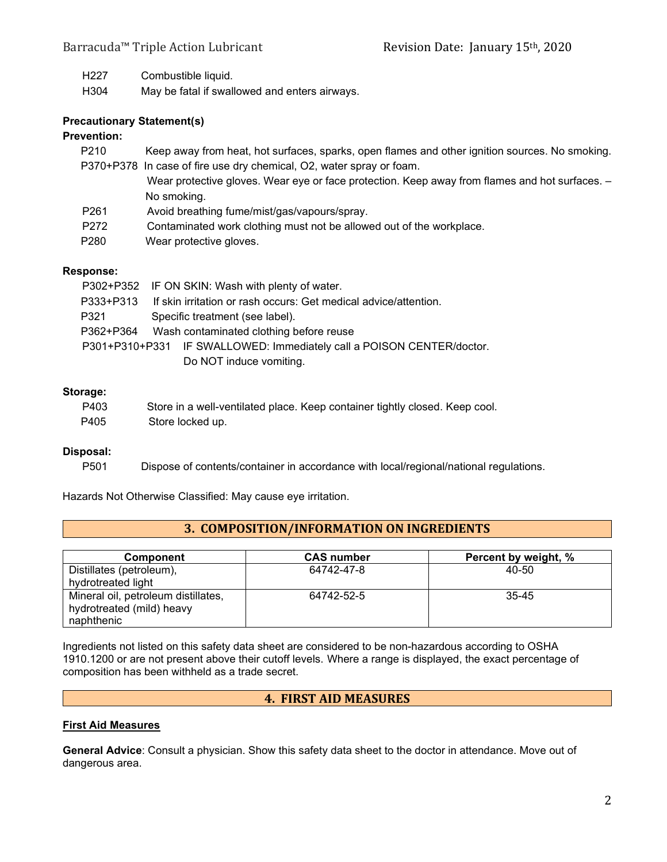H227 Combustible liquid.

H304 May be fatal if swallowed and enters airways.

## **Precautionary Statement(s)**

## **Prevention:**

| P210             | Keep away from heat, hot surfaces, sparks, open flames and other ignition sources. No smoking. |
|------------------|------------------------------------------------------------------------------------------------|
|                  | P370+P378 In case of fire use dry chemical, O2, water spray or foam.                           |
|                  | Wear protective gloves. Wear eye or face protection. Keep away from flames and hot surfaces. - |
|                  | No smoking.                                                                                    |
| P <sub>261</sub> | Avoid breathing fume/mist/gas/vapours/spray.                                                   |
| P <sub>272</sub> | Contaminated work clothing must not be allowed out of the workplace.                           |

P280 Wear protective gloves.

#### **Response:**

|      | P302+P352 IF ON SKIN: Wash with plenty of water.                           |
|------|----------------------------------------------------------------------------|
|      | P333+P313 If skin irritation or rash occurs: Get medical advice/attention. |
| P321 | Specific treatment (see label).                                            |
|      | P362+P364 Wash contaminated clothing before reuse                          |
|      | P301+P310+P331 IF SWALLOWED: Immediately call a POISON CENTER/doctor.      |
|      | Do NOT induce vomiting.                                                    |

#### **Storage:**

| P403 | Store in a well-ventilated place. Keep container tightly closed. Keep cool. |
|------|-----------------------------------------------------------------------------|
| P405 | Store locked up.                                                            |

#### **Disposal:**

P501 Dispose of contents/container in accordance with local/regional/national regulations.

Hazards Not Otherwise Classified: May cause eye irritation.

# **3. COMPOSITION/INFORMATION ON INGREDIENTS**

| <b>Component</b>                    | <b>CAS</b> number | Percent by weight, % |
|-------------------------------------|-------------------|----------------------|
| Distillates (petroleum),            | 64742-47-8        | 40-50                |
| hydrotreated light                  |                   |                      |
| Mineral oil, petroleum distillates, | 64742-52-5        | 35-45                |
| hydrotreated (mild) heavy           |                   |                      |
| naphthenic                          |                   |                      |

Ingredients not listed on this safety data sheet are considered to be non-hazardous according to OSHA 1910.1200 or are not present above their cutoff levels. Where a range is displayed, the exact percentage of composition has been withheld as a trade secret.

# **4. FIRST AID MEASURES**

# **First Aid Measures**

**General Advice**: Consult a physician. Show this safety data sheet to the doctor in attendance. Move out of dangerous area.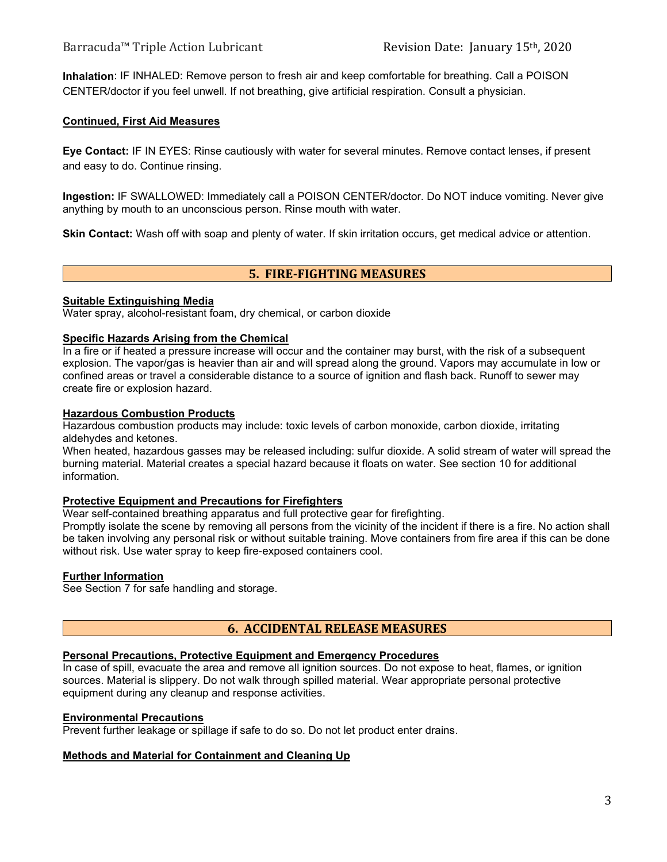**Inhalation**: IF INHALED: Remove person to fresh air and keep comfortable for breathing. Call a POISON CENTER/doctor if you feel unwell. If not breathing, give artificial respiration. Consult a physician.

## **Continued, First Aid Measures**

**Eye Contact:** IF IN EYES: Rinse cautiously with water for several minutes. Remove contact lenses, if present and easy to do. Continue rinsing.

**Ingestion:** IF SWALLOWED: Immediately call a POISON CENTER/doctor. Do NOT induce vomiting. Never give anything by mouth to an unconscious person. Rinse mouth with water.

**Skin Contact:** Wash off with soap and plenty of water. If skin irritation occurs, get medical advice or attention.

# **5. FIRE-FIGHTING MEASURES**

#### **Suitable Extinguishing Media**

Water spray, alcohol-resistant foam, dry chemical, or carbon dioxide

## **Specific Hazards Arising from the Chemical**

In a fire or if heated a pressure increase will occur and the container may burst, with the risk of a subsequent explosion. The vapor/gas is heavier than air and will spread along the ground. Vapors may accumulate in low or confined areas or travel a considerable distance to a source of ignition and flash back. Runoff to sewer may create fire or explosion hazard.

#### **Hazardous Combustion Products**

Hazardous combustion products may include: toxic levels of carbon monoxide, carbon dioxide, irritating aldehydes and ketones.

When heated, hazardous gasses may be released including: sulfur dioxide. A solid stream of water will spread the burning material. Material creates a special hazard because it floats on water. See section 10 for additional information.

#### **Protective Equipment and Precautions for Firefighters**

Wear self-contained breathing apparatus and full protective gear for firefighting.

Promptly isolate the scene by removing all persons from the vicinity of the incident if there is a fire. No action shall be taken involving any personal risk or without suitable training. Move containers from fire area if this can be done without risk. Use water spray to keep fire-exposed containers cool.

## **Further Information**

See Section 7 for safe handling and storage.

# **6. ACCIDENTAL RELEASE MEASURES**

## **Personal Precautions, Protective Equipment and Emergency Procedures**

In case of spill, evacuate the area and remove all ignition sources. Do not expose to heat, flames, or ignition sources. Material is slippery. Do not walk through spilled material. Wear appropriate personal protective equipment during any cleanup and response activities.

#### **Environmental Precautions**

Prevent further leakage or spillage if safe to do so. Do not let product enter drains.

## **Methods and Material for Containment and Cleaning Up**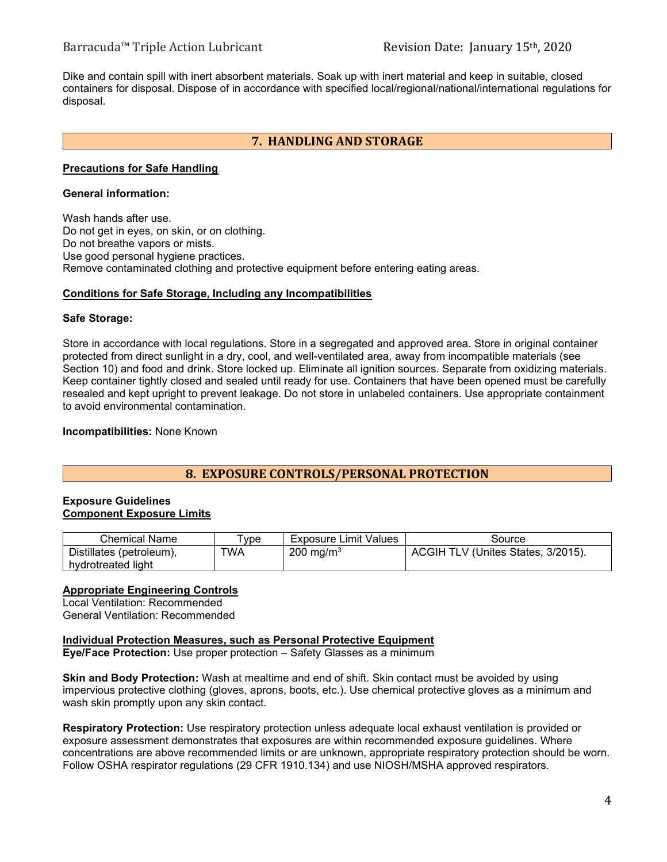Dike and contain spill with inert absorbent materials. Soak up with inert material and keep in suitable, closed containers for disposal. Dispose of in accordance with specified local/regional/national/international regulations for disposal.

# **7. HANDLING AND STORAGE**

#### **Precautions for Safe Handling**

# **General information:**

Wash hands after use. Do not get in eyes, on skin, or on clothing. Do not breathe vapors or mists. Use good personal hygiene practices. Remove contaminated clothing and protective equipment before entering eating areas.

#### **Conditions for Safe Storage, Including any Incompatibilities**

#### **Safe Storage:**

Store in accordance with local regulations. Store in a segregated and approved area. Store in original container protected from direct sunlight in a dry, cool, and well-ventilated area, away from incompatible materials (see Section 10) and food and drink. Store locked up. Eliminate all ignition sources. Separate from oxidizing materials. Keep container tightly closed and sealed until ready for use. Containers that have been opened must be carefully resealed and kept upright to prevent leakage. Do not store in unlabeled containers. Use appropriate containment to avoid environmental contamination.

**Incompatibilities:** None Known

# **8. EXPOSURE CONTROLS/PERSONAL PROTECTION**

#### **Exposure Guidelines Component Exposure Limits**

| Chemical Name            | vpe | <b>Exposure Limit Values</b> | Source                             |
|--------------------------|-----|------------------------------|------------------------------------|
| Distillates (petroleum), | TWA | 200 mg/m <sup>3</sup>        | ACGIH TLV (Unites States, 3/2015). |
| hydrotreated light       |     |                              |                                    |

## **Appropriate Engineering Controls**

Local Ventilation: Recommended General Ventilation: Recommended

## **Individual Protection Measures, such as Personal Protective Equipment**

**Eye/Face Protection:** Use proper protection – Safety Glasses as a minimum

**Skin and Body Protection:** Wash at mealtime and end of shift. Skin contact must be avoided by using impervious protective clothing (gloves, aprons, boots, etc.). Use chemical protective gloves as a minimum and wash skin promptly upon any skin contact.

**Respiratory Protection:** Use respiratory protection unless adequate local exhaust ventilation is provided or exposure assessment demonstrates that exposures are within recommended exposure guidelines. Where concentrations are above recommended limits or are unknown, appropriate respiratory protection should be worn. Follow OSHA respirator regulations (29 CFR 1910.134) and use NIOSH/MSHA approved respirators.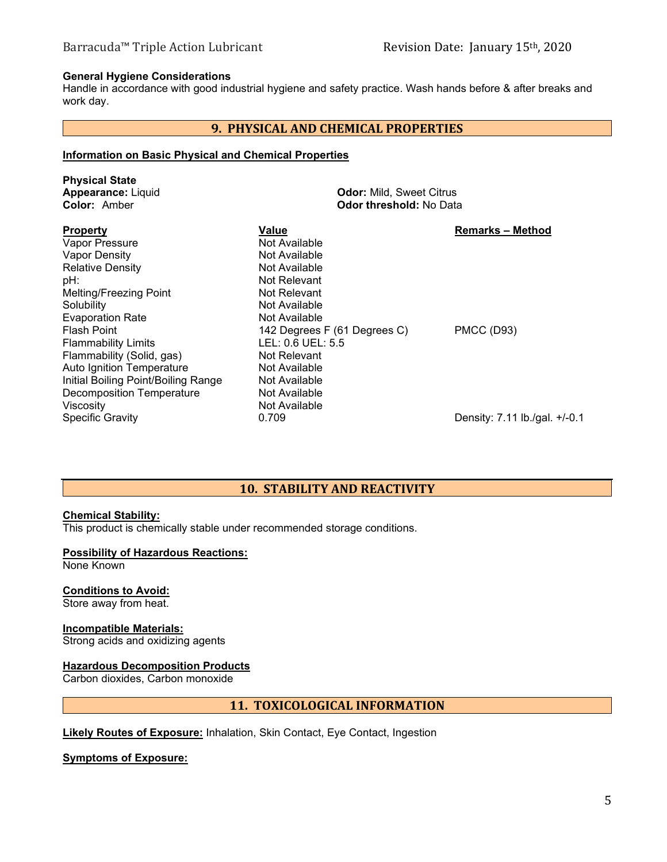## **General Hygiene Considerations**

Handle in accordance with good industrial hygiene and safety practice. Wash hands before & after breaks and work day.

# **9. PHYSICAL AND CHEMICAL PROPERTIES**

#### **Information on Basic Physical and Chemical Properties**

| <b>Physical State</b><br><b>Appearance: Liquid</b><br>Color: Amber                                                                                                                                | <b>Odor: Mild, Sweet Citrus</b><br><b>Odor threshold: No Data</b>                                                                     |                               |  |
|---------------------------------------------------------------------------------------------------------------------------------------------------------------------------------------------------|---------------------------------------------------------------------------------------------------------------------------------------|-------------------------------|--|
| <b>Property</b><br>Vapor Pressure<br>Vapor Density<br><b>Relative Density</b><br>pH:<br>Melting/Freezing Point                                                                                    | Value<br>Not Available<br>Not Available<br>Not Available<br>Not Relevant<br>Not Relevant                                              | <b>Remarks – Method</b>       |  |
| Solubility<br><b>Evaporation Rate</b><br><b>Flash Point</b><br><b>Flammability Limits</b><br>Flammability (Solid, gas)<br><b>Auto Ignition Temperature</b><br>Initial Boiling Point/Boiling Range | Not Available<br>Not Available<br>142 Degrees F (61 Degrees C)<br>LEL: 0.6 UEL: 5.5<br>Not Relevant<br>Not Available<br>Not Available | <b>PMCC (D93)</b>             |  |
| <b>Decomposition Temperature</b><br>Viscosity<br><b>Specific Gravity</b>                                                                                                                          | Not Available<br>Not Available<br>0.709                                                                                               | Density: 7.11 lb./gal. +/-0.1 |  |

# **10. STABILITY AND REACTIVITY**

## **Chemical Stability:**

This product is chemically stable under recommended storage conditions.

## **Possibility of Hazardous Reactions:**

None Known

## **Conditions to Avoid:**

Store away from heat.

# **Incompatible Materials:**

Strong acids and oxidizing agents

# **Hazardous Decomposition Products**

Carbon dioxides, Carbon monoxide

# **11. TOXICOLOGICAL INFORMATION**

**Likely Routes of Exposure:** Inhalation, Skin Contact, Eye Contact, Ingestion

## **Symptoms of Exposure:**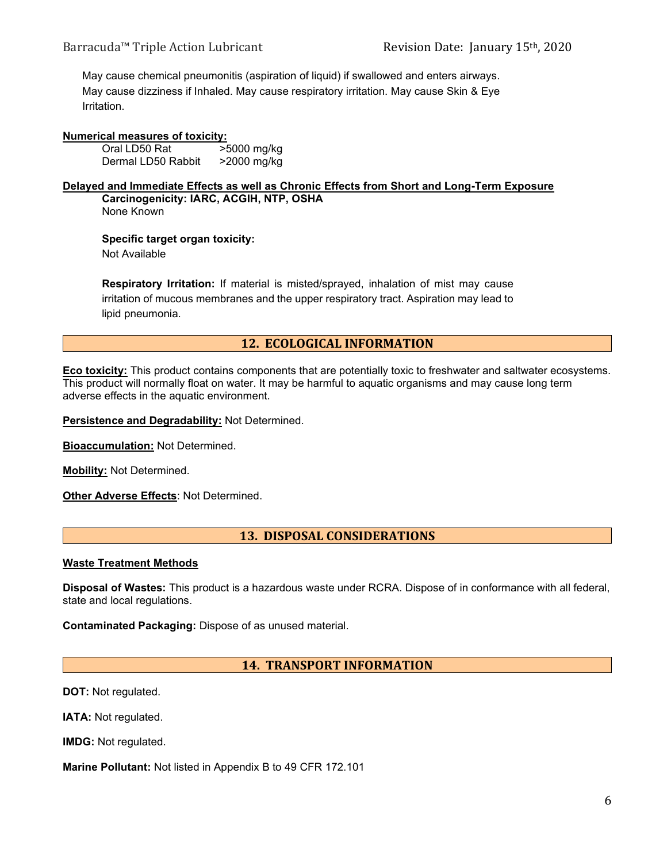May cause chemical pneumonitis (aspiration of liquid) if swallowed and enters airways. May cause dizziness if Inhaled. May cause respiratory irritation. May cause Skin & Eye Irritation.

# **Numerical measures of toxicity:**<br>Oral LD50 Rat >5000 mg/kg

Oral LD50 Rat >5000 mg/kg<br>Dermal LD50 Rabbit >2000 mg/kg Dermal LD50 Rabbit

#### **Delayed and Immediate Effects as well as Chronic Effects from Short and Long-Term Exposure Carcinogenicity: IARC, ACGIH, NTP, OSHA**

None Known

**Specific target organ toxicity:** 

Not Available

**Respiratory Irritation:** If material is misted/sprayed, inhalation of mist may cause irritation of mucous membranes and the upper respiratory tract. Aspiration may lead to lipid pneumonia.

# **12. ECOLOGICAL INFORMATION**

**Eco toxicity:** This product contains components that are potentially toxic to freshwater and saltwater ecosystems. This product will normally float on water. It may be harmful to aquatic organisms and may cause long term adverse effects in the aquatic environment.

**Persistence and Degradability:** Not Determined.

**Bioaccumulation:** Not Determined.

**Mobility:** Not Determined.

**Other Adverse Effects**: Not Determined.

# **13. DISPOSAL CONSIDERATIONS**

## **Waste Treatment Methods**

**Disposal of Wastes:** This product is a hazardous waste under RCRA. Dispose of in conformance with all federal, state and local regulations.

**Contaminated Packaging:** Dispose of as unused material.

**14. TRANSPORT INFORMATION**

**DOT:** Not regulated.

**IATA: Not regulated.** 

**IMDG:** Not regulated.

**Marine Pollutant:** Not listed in Appendix B to 49 CFR 172.101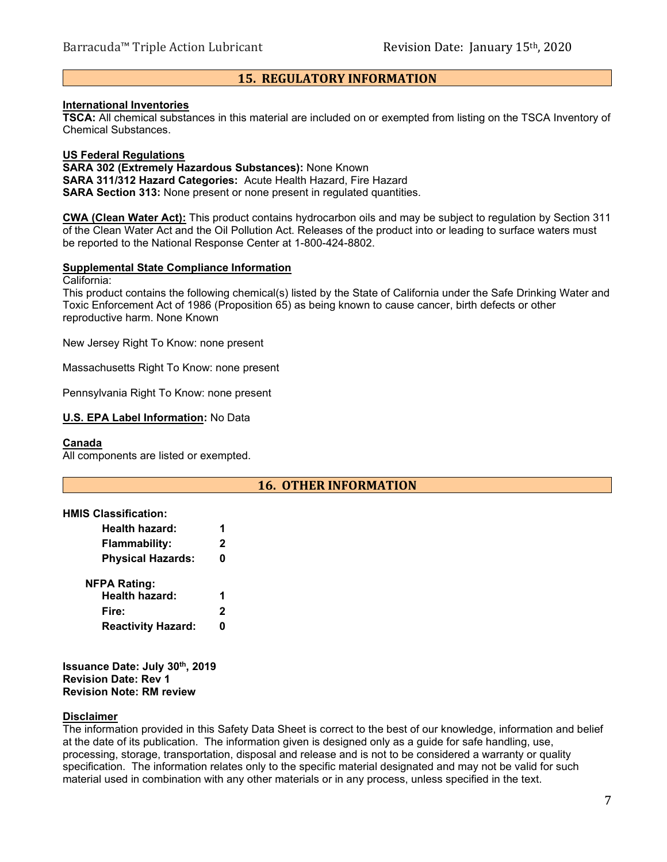# **15. REGULATORY INFORMATION**

#### **International Inventories**

**TSCA:** All chemical substances in this material are included on or exempted from listing on the TSCA Inventory of Chemical Substances.

#### **US Federal Regulations**

**SARA 302 (Extremely Hazardous Substances):** None Known **SARA 311/312 Hazard Categories:** Acute Health Hazard, Fire Hazard **SARA Section 313:** None present or none present in regulated quantities.

**CWA (Clean Water Act):** This product contains hydrocarbon oils and may be subject to regulation by Section 311 of the Clean Water Act and the Oil Pollution Act. Releases of the product into or leading to surface waters must be reported to the National Response Center at 1-800-424-8802.

## **Supplemental State Compliance Information**

California:

This product contains the following chemical(s) listed by the State of California under the Safe Drinking Water and Toxic Enforcement Act of 1986 (Proposition 65) as being known to cause cancer, birth defects or other reproductive harm. None Known

New Jersey Right To Know: none present

Massachusetts Right To Know: none present

Pennsylvania Right To Know: none present

#### **U.S. EPA Label Information:** No Data

#### **Canada**

All components are listed or exempted.

## **16. OTHER INFORMATION**

#### **HMIS Classification:**

| 2 |
|---|
| 0 |
|   |
| 1 |
| 2 |
| n |
|   |

**Issuance Date: July 30th, 2019 Revision Date: Rev 1 Revision Note: RM review**

#### **Disclaimer**

The information provided in this Safety Data Sheet is correct to the best of our knowledge, information and belief at the date of its publication. The information given is designed only as a guide for safe handling, use, processing, storage, transportation, disposal and release and is not to be considered a warranty or quality specification. The information relates only to the specific material designated and may not be valid for such material used in combination with any other materials or in any process, unless specified in the text.